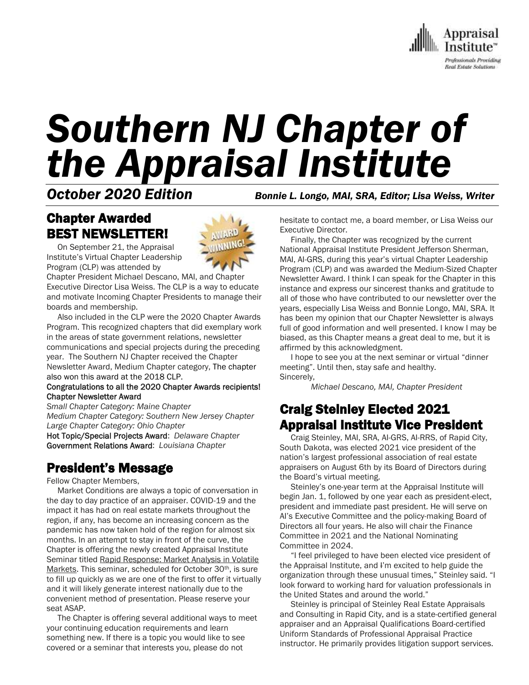

# *Southern NJ Chapter of the Appraisal Institute*

*October 2020 Edition Bonnie L. Longo, MAI, SRA, Editor; Lisa Weiss, Writer*

# Chapter Awarded BEST NEWSLETTER!

 On September 21, the Appraisal Institute's Virtual Chapter Leadership Program (CLP) was attended by

Chapter President Michael Descano, MAI, and Chapter Executive Director Lisa Weiss. The CLP is a way to educate and motivate Incoming Chapter Presidents to manage their boards and membership.

 Also included in the CLP were the 2020 Chapter Awards Program. This recognized chapters that did exemplary work in the areas of state government relations, newsletter communications and special projects during the preceding year. The Southern NJ Chapter received the Chapter Newsletter Award, Medium Chapter category, The chapter also won this award at the 2018 CLP.

#### Congratulations to all the 2020 Chapter Awards recipients! Chapter Newsletter Award

*Small Chapter Category: Maine Chapter Medium Chapter Category: Southern New Jersey Chapter Large Chapter Category: Ohio Chapter*

Hot Topic/Special Projects Award: *Delaware Chapter* Government Relations Award: *Louisiana Chapter*

## President's Message

Fellow Chapter Members,

 Market Conditions are always a topic of conversation in the day to day practice of an appraiser. COVID-19 and the impact it has had on real estate markets throughout the region, if any, has become an increasing concern as the pandemic has now taken hold of the region for almost six months. In an attempt to stay in front of the curve, the Chapter is offering the newly created Appraisal Institute Seminar titled Rapid Response: Market Analysis in Volatile Markets. This seminar, scheduled for October 30<sup>th</sup>, is sure to fill up quickly as we are one of the first to offer it virtually and it will likely generate interest nationally due to the convenient method of presentation. Please reserve your seat ASAP.

 The Chapter is offering several additional ways to meet your continuing education requirements and learn something new. If there is a topic you would like to see covered or a seminar that interests you, please do not

hesitate to contact me, a board member, or Lisa Weiss our Executive Director.

 Finally, the Chapter was recognized by the current National Appraisal Institute President Jefferson Sherman, MAI, AI-GRS, during this year's virtual Chapter Leadership Program (CLP) and was awarded the Medium-Sized Chapter Newsletter Award. I think I can speak for the Chapter in this instance and express our sincerest thanks and gratitude to all of those who have contributed to our newsletter over the years, especially Lisa Weiss and Bonnie Longo, MAI, SRA. It has been my opinion that our Chapter Newsletter is always full of good information and well presented. I know I may be biased, as this Chapter means a great deal to me, but it is affirmed by this acknowledgment.

 I hope to see you at the next seminar or virtual "dinner meeting". Until then, stay safe and healthy. Sincerely,

*Michael Descano, MAI, Chapter President*

## Craig Steinley Elected 2021 Appraisal Institute Vice President

 Craig Steinley, MAI, SRA, AI-GRS, AI-RRS, of Rapid City, South Dakota, was elected 2021 vice president of the nation's largest professional association of real estate appraisers on August 6th by its Board of Directors during the Board's virtual meeting.

 Steinley's one-year term at the Appraisal Institute will begin Jan. 1, followed by one year each as president-elect, president and immediate past president. He will serve on AI's Executive Committee and the policy-making Board of Directors all four years. He also will chair the Finance Committee in 2021 and the National Nominating Committee in 2024.

 "I feel privileged to have been elected vice president of the Appraisal Institute, and I'm excited to help guide the organization through these unusual times," Steinley said. "I look forward to working hard for valuation professionals in the United States and around the world."

 Steinley is principal of Steinley Real Estate Appraisals and Consulting in Rapid City, and is a state-certified general appraiser and an Appraisal Qualifications Board-certified Uniform Standards of Professional Appraisal Practice instructor. He primarily provides litigation support services.

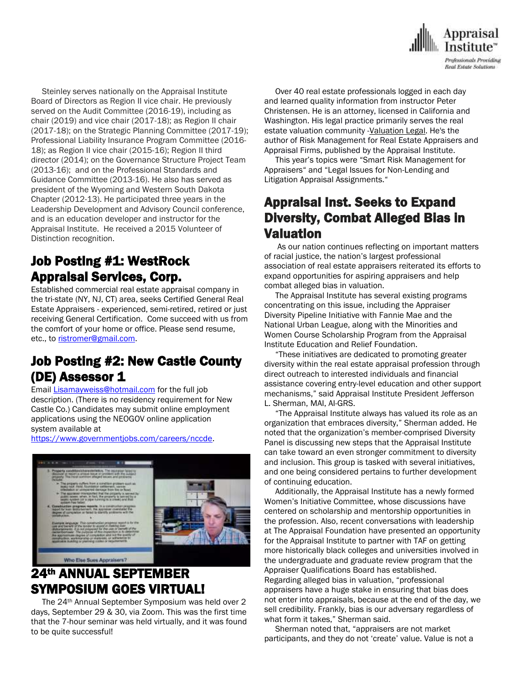

 Steinley serves nationally on the Appraisal Institute Board of Directors as Region II vice chair. He previously served on the Audit Committee (2016-19), including as chair (2019) and vice chair (2017-18); as Region II chair (2017-18); on the Strategic Planning Committee (2017-19); Professional Liability Insurance Program Committee (2016- 18); as Region II vice chair (2015-16); Region II third director (2014); on the Governance Structure Project Team (2013-16); and on the Professional Standards and Guidance Committee (2013-16). He also has served as president of the Wyoming and Western South Dakota Chapter (2012-13). He participated three years in the Leadership Development and Advisory Council conference, and is an education developer and instructor for the Appraisal Institute. He received a 2015 Volunteer of Distinction recognition.

## Job Posting #1: WestRock Appraisal Services, Corp.

Established commercial real estate appraisal company in the tri-state (NY, NJ, CT) area, seeks Certified General Real Estate Appraisers - experienced, semi-retired, retired or just receiving General Certification. Come succeed with us from the comfort of your home or office. Please send resume, etc., to [ristromer@gmail.com.](mailto:ristromer@gmail.com)

## Job Posting #2: New Castle County (DE) Assessor 1

Email [Lisamayweiss@hotmail.com](mailto:Lisamayweiss@hotmail.com) for the full job description. (There is no residency requirement for New Castle Co.) Candidates may submit online employment applications using the NEOGOV online application system available at

[https://www.governmentjobs.com/careers/nccde.](https://www.governmentjobs.com/careers/nccde)



## 24th ANNUAL SEPTEMBER SYMPOSIUM GOES VIRTUAL!

 The 24th Annual September Symposium was held over 2 days, September 29 & 30, via Zoom. This was the first time that the 7-hour seminar was held virtually, and it was found to be quite successful!

 Over 40 real estate professionals logged in each day and learned quality information from instructor Peter Christensen. He is an attorney, licensed in California and Washington. His legal practice primarily serves the real estate valuation community [-Valuation](https://www.valuationlegal.com/blog/) Legal. He's the author of Risk Management for Real Estate Appraisers and Appraisal Firms, published by the Appraisal Institute.

 This year's topics were "Smart Risk Management for Appraisers" and "Legal Issues for Non-Lending and Litigation Appraisal Assignments."

## Appraisal Inst. Seeks to Expand Diversity, Combat Alleged Bias in Valuation

 As our nation continues reflecting on important matters of racial justice, the nation's largest professional association of real estate appraisers reiterated its efforts to expand opportunities for aspiring appraisers and help combat alleged bias in valuation.

 The Appraisal Institute has several existing programs concentrating on this issue, including the Appraiser Diversity Pipeline Initiative with Fannie Mae and the National Urban League, along with the Minorities and Women Course Scholarship Program from the Appraisal Institute Education and Relief Foundation.

 "These initiatives are dedicated to promoting greater diversity within the real estate appraisal profession through direct outreach to interested individuals and financial assistance covering entry-level education and other support mechanisms," said Appraisal Institute President Jefferson L. Sherman, MAI, AI-GRS.

 "The Appraisal Institute always has valued its role as an organization that embraces diversity," Sherman added. He noted that the organization's member-comprised Diversity Panel is discussing new steps that the Appraisal Institute can take toward an even stronger commitment to diversity and inclusion. This group is tasked with several initiatives, and one being considered pertains to further development of continuing education.

 Additionally, the Appraisal Institute has a newly formed Women's Initiative Committee, whose discussions have centered on scholarship and mentorship opportunities in the profession. Also, recent conversations with leadership at The Appraisal Foundation have presented an opportunity for the Appraisal Institute to partner with TAF on getting more historically black colleges and universities involved in the undergraduate and graduate review program that the Appraiser Qualifications Board has established. Regarding alleged bias in valuation, "professional appraisers have a huge stake in ensuring that bias does not enter into appraisals, because at the end of the day, we sell credibility. Frankly, bias is our adversary regardless of what form it takes," Sherman said.

 Sherman noted that, "appraisers are not market participants, and they do not 'create' value. Value is not a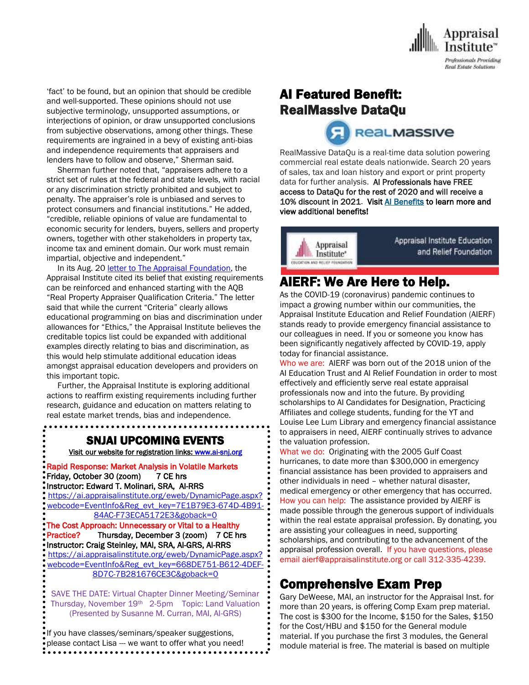

'fact' to be found, but an opinion that should be credible and well-supported. These opinions should not use subjective terminology, unsupported assumptions, or interjections of opinion, or draw unsupported conclusions from subjective observations, among other things. These requirements are ingrained in a bevy of existing anti-bias and independence requirements that appraisers and lenders have to follow and observe," Sherman said.

 Sherman further noted that, "appraisers adhere to a strict set of rules at the federal and state levels, with racial or any discrimination strictly prohibited and subject to penalty. The appraiser's role is unbiased and serves to protect consumers and financial institutions." He added, "credible, reliable opinions of value are fundamental to economic security for lenders, buyers, sellers and property owners, together with other stakeholders in property tax, income tax and eminent domain. Our work must remain impartial, objective and independent."

In its Aug. 20 letter to The Appraisal [Foundation,](https://www.appraisalinstitute.org/file.aspx?DocumentId=2687) the Appraisal Institute cited its belief that existing requirements can be reinforced and enhanced starting with the AQB "Real Property Appraiser Qualification Criteria." The letter said that while the current "Criteria" clearly allows educational programming on bias and discrimination under allowances for "Ethics," the Appraisal Institute believes the creditable topics list could be expanded with additional examples directly relating to bias and discrimination, as this would help stimulate additional education ideas amongst appraisal education developers and providers on this important topic.

 Further, the Appraisal Institute is exploring additional actions to reaffirm existing requirements including further research, guidance and education on matters relating to real estate market trends, bias and independence.

SNJAI UPCOMING EVENTS

[Visit](http://www.myappraisalinstitute.org/education/southernNewJersey) our website for registration links[: www.ai-snj.org](http://www.ai-snj.org/) 

Rapid Response: Market Analysis in Volatile Markets Friday, October 30 (zoom) 7 CE hrs Instructor: Edward T. Molinari, SRA, Al-RRS

[https://ai.appraisalinstitute.org/eweb/DynamicPage.aspx?](https://ai.appraisalinstitute.org/eweb/DynamicPage.aspx?webcode=EventInfo&Reg_evt_key=7E1B79E3-674D-4B91-84AC-F73ECA5172E3&goback=0) [webcode=EventInfo&Reg\\_evt\\_key=7E1B79E3-674D-4B91-](https://ai.appraisalinstitute.org/eweb/DynamicPage.aspx?webcode=EventInfo&Reg_evt_key=7E1B79E3-674D-4B91-84AC-F73ECA5172E3&goback=0) [84AC-F73ECA5172E3&goback=0](https://ai.appraisalinstitute.org/eweb/DynamicPage.aspx?webcode=EventInfo&Reg_evt_key=7E1B79E3-674D-4B91-84AC-F73ECA5172E3&goback=0)

The Cost Approach: Unnecessary or Vital to a Healthy Practice? Thursday, December 3 (zoom) 7 CE hrs Instructor: Craig Steinley, MAI, SRA, AI-GRS, AI-RRS [https://ai.appraisalinstitute.org/eweb/DynamicPage.aspx?](https://ai.appraisalinstitute.org/eweb/DynamicPage.aspx?webcode=EventInfo&Reg_evt_key=668DE751-B612-4DEF-8D7C-7B281676CE3C&goback=0) [webcode=EventInfo&Reg\\_evt\\_key=668DE751-B612-4DEF-](https://ai.appraisalinstitute.org/eweb/DynamicPage.aspx?webcode=EventInfo&Reg_evt_key=668DE751-B612-4DEF-8D7C-7B281676CE3C&goback=0)[8D7C-7B281676CE3C&goback=0](https://ai.appraisalinstitute.org/eweb/DynamicPage.aspx?webcode=EventInfo&Reg_evt_key=668DE751-B612-4DEF-8D7C-7B281676CE3C&goback=0)

SAVE THE DATE: Virtual Chapter Dinner Meeting/Seminar Thursday, November 19th 2-5pm Topic: Land Valuation (Presented by Susanne M. Curran, MAI, AI-GRS)

If you have classes/seminars/speaker suggestions, please contact Lisa --- we want to offer what you need! ..............................

## AI Featured Benefit: RealMassive DataQu

**ReaLMassive** 

RealMassive DataQu is a real-time data solution powering commercial real estate deals nationwide. Search 20 years of sales, tax and loan history and export or print property data for further analysis. Al Professionals have FREE access to DataQu for the rest of 2020 and will receive a 10% discount in 2021. Visi[t AI Benefits](http://send.appraisalinstitute.org/link.cfm?r=vwtD93oHHyUAMd-FHE_JHA~~&pe=37W7WvQq0EsYWmxP0rulSM2Z-nrgMw4ec2m0TfPFSyJ1Cio9m4fVjKM1vFk2LOGUhpuLQmayxeF8OGchyHJqQA~~&t=68BBvWYmdtOwX2pNow9vxg~~) to learn more and view additional benefits!



## AIERF: We Are Here to Help.

As the COVID-19 (coronavirus) pandemic continues to impact a growing number within our communities, the Appraisal Institute Education and Relief Foundation (AIERF) stands ready to provide emergency financial assistance to our colleagues in need. If you or someone you know has been significantly negatively affected by COVID-19, apply today for financial assistance.

Who we are: AIERF was born out of the 2018 union of the AI Education Trust and AI Relief Foundation in order to most effectively and efficiently serve real estate appraisal professionals now and into the future. By providing scholarships to AI Candidates for Designation, Practicing Affiliates and college students, funding for the YT and Louise Lee Lum Library and emergency financial assistance to appraisers in need, AIERF continually strives to advance the valuation profession.

What we do: Originating with the 2005 Gulf Coast hurricanes, to date more than \$300,000 in emergency financial assistance has been provided to appraisers and other individuals in need – whether natural disaster, medical emergency or other emergency that has occurred. How you can help: The assistance provided by AIERF is made possible through the generous support of individuals within the real estate appraisal profession. By donating, you are assisting your colleagues in need, supporting scholarships, and contributing to the advancement of the appraisal profession overall. If you have questions, please email aierf@appraisalinstitute.org or call 312-335-4239.

## Comprehensive Exam Prep

Gary DeWeese, MAI, an instructor for the Appraisal Inst. for more than 20 years, is offering Comp Exam prep material. The cost is \$300 for the Income, \$150 for the Sales, \$150 for the Cost/HBU and \$150 for the General module material. If you purchase the first 3 modules, the General module material is free. The material is based on multiple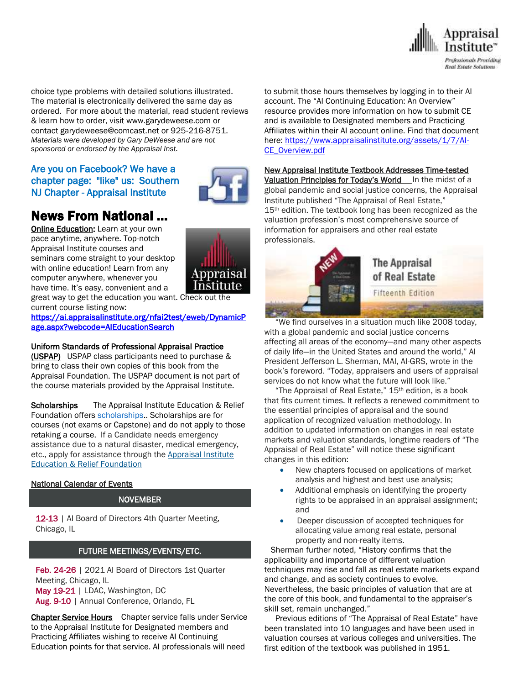

choice type problems with detailed solutions illustrated. The material is electronically delivered the same day as ordered. For more about the material, read student reviews & learn how to order, visit www.garydeweese.com or contact garydeweese@comcast.net or 925-216-8751. *Materials were developed by Gary DeWeese and are not sponsored or endorsed by the Appraisal Inst.*

## Are you on Facebook? We have a chapter page: "like" us: Southern NJ Chapter - Appraisal Institute

# News From National …

[Online Education:](http://www.mmsend50.com/ls.cfm?r=99596491&sid=8974475&m=957997&u=Appraise&s=http://www.appraisalinstitute.org/online) Learn at your own pace anytime, anywhere. Top-notch Appraisal Institute courses and seminars come straight to your desktop with online education! Learn from any computer anywhere, whenever you have time. It's easy, convenient and a



great way to get the education you want. Check out the current course listing now:

[https://ai.appraisalinstitute.org/nfai2test/eweb/DynamicP](https://ai.appraisalinstitute.org/nfai2test/eweb/DynamicPage.aspx?webcode=AIEducationSearch) [age.aspx?webcode=AIEducationSearch](https://ai.appraisalinstitute.org/nfai2test/eweb/DynamicPage.aspx?webcode=AIEducationSearch) 

#### Uniform Standards of Professional Appraisal Practice

(USPAP) USPAP class participants need to purchase & bring to class their own copies of this book from the Appraisal Foundation. The USPAP document is not part of the course materials provided by the Appraisal Institute.

Scholarships The Appraisal Institute Education & Relief Foundation offers [scholarships.](http://send.appraisalinstitute.org/link.cfm?r=TyxXOooBFM-9kcaVyjABIA~~&pe=k_y06NsR9-tB3atEDYdXWLTTqBM_H3aeIPclU_7mx0sd29sU_T_sOiJTIa3747wAJXWGK_wLmsw-M82swC-Ijw~~&t=jouIQRRPlOfDkLqJe5AmNA~~). Scholarships are for courses (not exams or Capstone) and do not apply to those retaking a course. If a Candidate needs emergency assistance due to a natural disaster, medical emergency, etc., apply for assistance through the Appraisal Institute Education & Relief Foundation

#### National Calendar of Events

#### NOVEMBER

12-13 | Al Board of Directors 4th Quarter Meeting, Chicago, IL

#### FUTURE MEETINGS/EVENTS/ETC.

Feb. 24-26 | 2021 AI Board of Directors 1st Quarter Meeting, Chicago, IL May 19-21 | LDAC, Washington, DC Aug. 9-10 | Annual Conference, Orlando, FL

Chapter Service Hours Chapter service falls under Service to the Appraisal Institute for Designated members and Practicing Affiliates wishing to receive AI Continuing Education points for that service. AI professionals will need

to submit those hours themselves by logging in to their AI account. The "AI Continuing Education: An Overview" resource provides more information on how to submit CE and is available to Designated members and Practicing Affiliates within their AI account online. Find that document here: [https://www.appraisalinstitute.org/assets/1/7/AI-](https://www.appraisalinstitute.org/assets/1/7/AI-CE_Overview.pdf)[CE\\_Overview.pdf](https://www.appraisalinstitute.org/assets/1/7/AI-CE_Overview.pdf)

#### New Appraisal Institute Textbook Addresses Time-tested Valuation Principles for Today's World In the midst of a

global pandemic and social justice concerns, the Appraisal Institute published "The Appraisal of Real Estate," 15<sup>th</sup> edition. The textbook long has been recognized as the valuation profession's most comprehensive source of information for appraisers and other real estate professionals.



 "We find ourselves in a situation much like 2008 today, with a global pandemic and social justice concerns affecting all areas of the economy—and many other aspects of daily life—in the United States and around the world," AI President Jefferson L. Sherman, MAI, AI-GRS, wrote in the book's foreword. "Today, appraisers and users of appraisal services do not know what the future will look like."

 "The Appraisal of Real Estate," 15th edition, is a book that fits current times. It reflects a renewed commitment to the essential principles of appraisal and the sound application of recognized valuation methodology. In addition to updated information on changes in real estate markets and valuation standards, longtime readers of "The Appraisal of Real Estate" will notice these significant changes in this edition:

- New chapters focused on applications of market analysis and highest and best use analysis;
- Additional emphasis on identifying the property rights to be appraised in an appraisal assignment; and
- Deeper discussion of accepted techniques for allocating value among real estate, personal property and non-realty items.

 Sherman further noted, "History confirms that the applicability and importance of different valuation techniques may rise and fall as real estate markets expand and change, and as society continues to evolve. Nevertheless, the basic principles of valuation that are at the core of this book, and fundamental to the appraiser's skill set, remain unchanged."

 Previous editions of "The Appraisal of Real Estate" have been translated into 10 languages and have been used in valuation courses at various colleges and universities. The first edition of the textbook was published in 1951.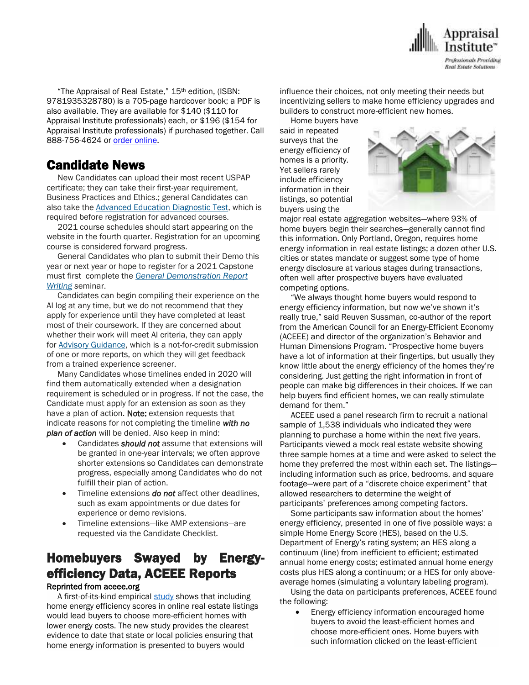

 "The Appraisal of Real Estate," 15th edition, (ISBN: 9781935328780) is a 705-page hardcover book; a PDF is also available. They are available for \$140 (\$110 for Appraisal Institute professionals) each, or \$196 (\$154 for Appraisal Institute professionals) if purchased together. Call 888-756-4624 or order [online.](https://www.appraisalinstitute.org/15edition/)

## Candidate News

 New Candidates can upload their most recent USPAP certificate; they can take their first-year requirement, Business Practices and Ethics.; general Candidates can also take the Advanced Education [Diagnostic](http://send.appraisalinstitute.org/link.cfm?r=uRRhLNx_58oKvjetQUd8KQ~~&pe=DtD34eTLOjVd2WvjOMGGk2aaoDyh8LLcHGOJfNqY-XfAuuZ9MWZSKtRNfAbBoL0oSuhx0ThwtSfOS-8J2PecTA~~&t=JP1y7ZzqsSWwF3t5PZcwCA~~) Test, which is required before registration for advanced courses.

 2021 course schedules should start appearing on the website in the fourth quarter. Registration for an upcoming course is considered forward progress.

 General Candidates who plan to submit their Demo this year or next year or hope to register for a 2021 Capstone must first complete the *General [Demonstration](http://send.appraisalinstitute.org/link.cfm?r=uRRhLNx_58oKvjetQUd8KQ~~&pe=AKs5VOvjhb6jmAij0tmR6cRhKjRppkOmZBvNdzDCt3q2UXbVkGgqkqZOuS0HYrXmaVY1eqfJaHI0oZwSekITlQ~~&t=JP1y7ZzqsSWwF3t5PZcwCA~~) Report [Writing](http://send.appraisalinstitute.org/link.cfm?r=uRRhLNx_58oKvjetQUd8KQ~~&pe=AKs5VOvjhb6jmAij0tmR6cRhKjRppkOmZBvNdzDCt3q2UXbVkGgqkqZOuS0HYrXmaVY1eqfJaHI0oZwSekITlQ~~&t=JP1y7ZzqsSWwF3t5PZcwCA~~) s*eminar.

 Candidates can begin compiling their experience on the AI log at any time, but we do not recommend that they apply for experience until they have completed at least most of their coursework. If they are concerned about whether their work will meet AI criteria, they can apply for Advisory [Guidance,](http://send.appraisalinstitute.org/link.cfm?r=uRRhLNx_58oKvjetQUd8KQ~~&pe=fmX0024kEqtwOpEX9g-IoCDM14YVTDu3FzkdhWlPc8xzJ0TPathl5hHRyKfkMgP8W7_u08Lj78bhw7Ch7DQWiA~~&t=JP1y7ZzqsSWwF3t5PZcwCA~~) which is a not-for-credit submission of one or more reports, on which they will get feedback from a trained experience screener.

 Many Candidates whose timelines ended in 2020 will find them automatically extended when a designation requirement is scheduled or in progress. If not the case, the Candidate must apply for an extension as soon as they have a plan of action. Note: extension requests that indicate reasons for not completing the timeline *with no plan of action* will be denied. Also keep in mind:

- Candidates *should not* assume that extensions will be granted in one-year intervals; we often approve shorter extensions so Candidates can demonstrate progress, especially among Candidates who do not fulfill their plan of action.
- Timeline extensions *do not* affect other deadlines, such as exam appointments or due dates for experience or demo revisions.
- Timeline extensions—like AMP extensions—are requested via the Candidate Checklist.

# Homebuyers Swayed by Energyefficiency Data, ACEEE Reports

#### Reprinted from aceee.org

A first-of-its-kind empirical [study](https://www.aceee.org/research-report/b2002) shows that including home energy efficiency scores in online real estate listings would lead buyers to choose more-efficient homes with lower energy costs. The new study provides the clearest evidence to date that state or local policies ensuring that home energy information is presented to buyers would

influence their choices, not only meeting their needs but incentivizing sellers to make home efficiency upgrades and builders to construct more-efficient new homes.

 Home buyers have said in repeated surveys that the energy efficiency of homes is a priority. Yet sellers rarely include efficiency information in their listings, so potential buyers using the



major real estate aggregation websites—where 93% of home buyers begin their searches—generally cannot find this information. Only Portland, Oregon, requires home energy information in real estate listings; a dozen other U.S. cities or states mandate or suggest some type of home energy disclosure at various stages during transactions, often well after prospective buyers have evaluated competing options.

 "We always thought home buyers would respond to energy efficiency information, but now we've shown it's really true," said Reuven Sussman, co-author of the report from the American Council for an Energy-Efficient Economy (ACEEE) and director of the organization's Behavior and Human Dimensions Program. "Prospective home buyers have a lot of information at their fingertips, but usually they know little about the energy efficiency of the homes they're considering. Just getting the right information in front of people can make big differences in their choices. If we can help buyers find efficient homes, we can really stimulate demand for them."

 ACEEE used a panel research firm to recruit a national sample of 1,538 individuals who indicated they were planning to purchase a home within the next five years. Participants viewed a mock real estate website showing three sample homes at a time and were asked to select the home they preferred the most within each set. The listings including information such as price, bedrooms, and square footage—were part of a "discrete choice experiment" that allowed researchers to determine the weight of participants' preferences among competing factors.

 Some participants saw information about the homes' energy efficiency, presented in one of five possible ways: a simple Home Energy Score (HES), based on the U.S. Department of Energy's rating system; an HES along a continuum (line) from inefficient to efficient; estimated annual home energy costs; estimated annual home energy costs plus HES along a continuum; or a HES for only aboveaverage homes (simulating a voluntary labeling program).

 Using the data on participants preferences, ACEEE found the following:

• Energy efficiency information encouraged home buyers to avoid the least-efficient homes and choose more-efficient ones. Home buyers with such information clicked on the least-efficient